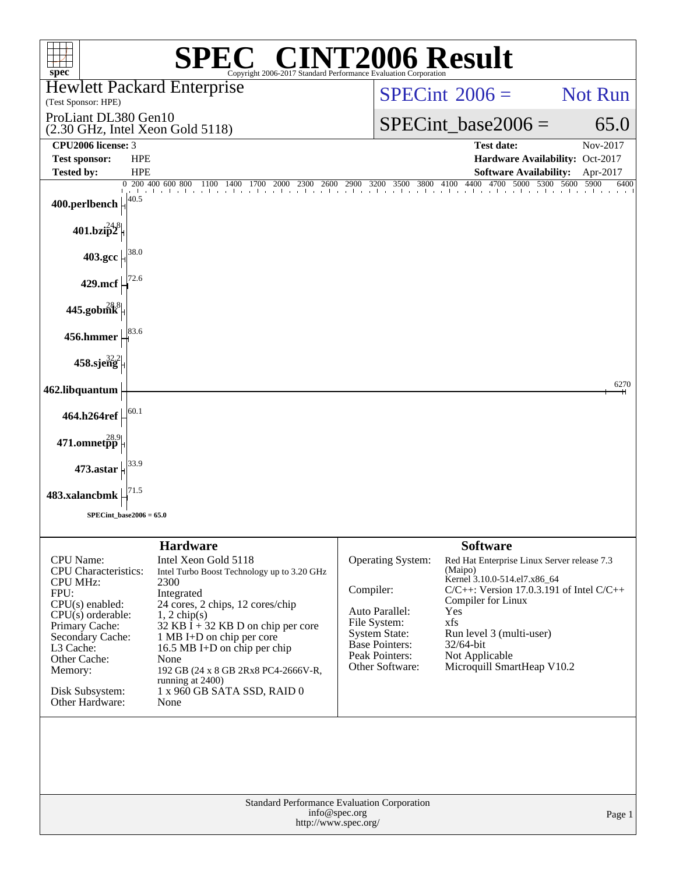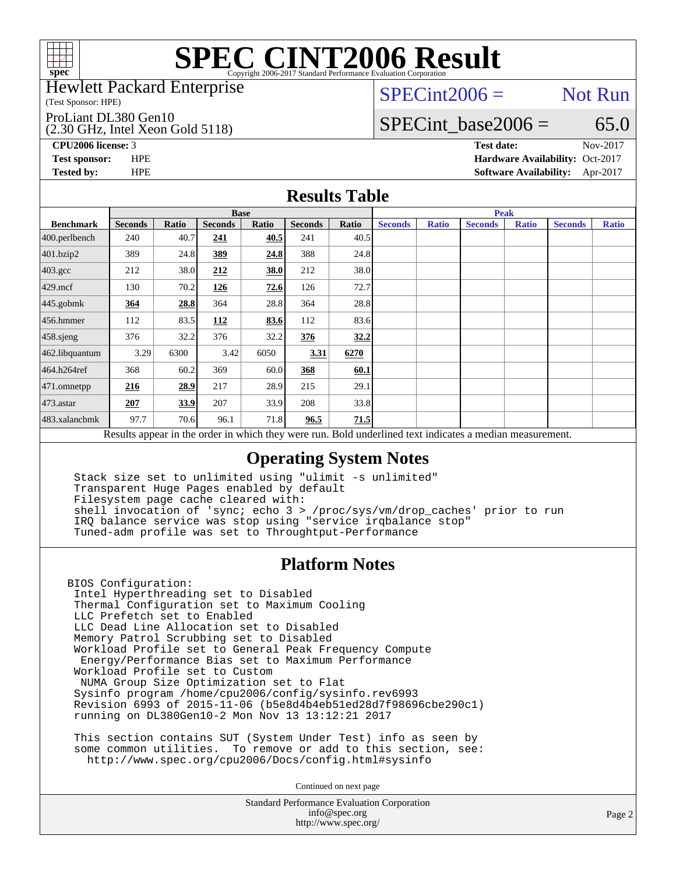

### Hewlett Packard Enterprise

(Test Sponsor: HPE)

### ProLiant DL380 Gen10

(2.30 GHz, Intel Xeon Gold 5118)

 $SPECint2006 =$  Not Run

## SPECint base2006 =  $65.0$

**[CPU2006 license:](http://www.spec.org/auto/cpu2006/Docs/result-fields.html#CPU2006license)** 3 **[Test date:](http://www.spec.org/auto/cpu2006/Docs/result-fields.html#Testdate)** Nov-2017

**[Test sponsor:](http://www.spec.org/auto/cpu2006/Docs/result-fields.html#Testsponsor)** HPE **[Hardware Availability:](http://www.spec.org/auto/cpu2006/Docs/result-fields.html#HardwareAvailability)** Oct-2017 **[Tested by:](http://www.spec.org/auto/cpu2006/Docs/result-fields.html#Testedby)** HPE **[Software Availability:](http://www.spec.org/auto/cpu2006/Docs/result-fields.html#SoftwareAvailability)** Apr-2017

## **[Results Table](http://www.spec.org/auto/cpu2006/Docs/result-fields.html#ResultsTable)**

|                                                                                                          | <b>Base</b>    |       |                |       |                |       | <b>Peak</b>    |              |                |              |                |              |
|----------------------------------------------------------------------------------------------------------|----------------|-------|----------------|-------|----------------|-------|----------------|--------------|----------------|--------------|----------------|--------------|
| <b>Benchmark</b>                                                                                         | <b>Seconds</b> | Ratio | <b>Seconds</b> | Ratio | <b>Seconds</b> | Ratio | <b>Seconds</b> | <b>Ratio</b> | <b>Seconds</b> | <b>Ratio</b> | <b>Seconds</b> | <b>Ratio</b> |
| $400.$ perlbench                                                                                         | 240            | 40.7  | 241            | 40.5  | 241            | 40.5  |                |              |                |              |                |              |
| 401.bzip2                                                                                                | 389            | 24.8  | 389            | 24.8  | 388            | 24.8  |                |              |                |              |                |              |
| $403.\mathrm{gcc}$                                                                                       | 212            | 38.0  | 212            | 38.0  | 212            | 38.0  |                |              |                |              |                |              |
| $429$ .mcf                                                                                               | 130            | 70.2  | 126            | 72.6  | 126            | 72.7  |                |              |                |              |                |              |
| $445$ .gobmk                                                                                             | 364            | 28.8  | 364            | 28.8  | 364            | 28.8  |                |              |                |              |                |              |
| $456.$ hmmer                                                                                             | 112            | 83.5  | 112            | 83.6  | 112            | 83.6  |                |              |                |              |                |              |
| 458.sjeng                                                                                                | 376            | 32.2  | 376            | 32.2  | 376            | 32.2  |                |              |                |              |                |              |
| 462.libquantum                                                                                           | 3.29           | 6300  | 3.42           | 6050  | 3.31           | 6270  |                |              |                |              |                |              |
| 464.h264ref                                                                                              | 368            | 60.2  | 369            | 60.0  | 368            | 60.1  |                |              |                |              |                |              |
| $ 471$ .omnetpp                                                                                          | 216            | 28.9  | 217            | 28.9  | 215            | 29.1  |                |              |                |              |                |              |
| $473$ . astar                                                                                            | 207            | 33.9  | 207            | 33.9  | 208            | 33.8  |                |              |                |              |                |              |
| 483.xalancbmk                                                                                            | 97.7           | 70.6  | 96.1           | 71.8  | 96.5           | 71.5  |                |              |                |              |                |              |
| Results appear in the order in which they were run. Bold underlined text indicates a median measurement. |                |       |                |       |                |       |                |              |                |              |                |              |

## **[Operating System Notes](http://www.spec.org/auto/cpu2006/Docs/result-fields.html#OperatingSystemNotes)**

 Stack size set to unlimited using "ulimit -s unlimited" Transparent Huge Pages enabled by default Filesystem page cache cleared with: shell invocation of 'sync; echo 3 > /proc/sys/vm/drop\_caches' prior to run IRQ balance service was stop using "service irqbalance stop" Tuned-adm profile was set to Throughtput-Performance

## **[Platform Notes](http://www.spec.org/auto/cpu2006/Docs/result-fields.html#PlatformNotes)**

BIOS Configuration: Intel Hyperthreading set to Disabled Thermal Configuration set to Maximum Cooling LLC Prefetch set to Enabled LLC Dead Line Allocation set to Disabled Memory Patrol Scrubbing set to Disabled Workload Profile set to General Peak Frequency Compute Energy/Performance Bias set to Maximum Performance Workload Profile set to Custom NUMA Group Size Optimization set to Flat Sysinfo program /home/cpu2006/config/sysinfo.rev6993 Revision 6993 of 2015-11-06 (b5e8d4b4eb51ed28d7f98696cbe290c1) running on DL380Gen10-2 Mon Nov 13 13:12:21 2017

 This section contains SUT (System Under Test) info as seen by some common utilities. To remove or add to this section, see: <http://www.spec.org/cpu2006/Docs/config.html#sysinfo>

Continued on next page

Standard Performance Evaluation Corporation [info@spec.org](mailto:info@spec.org) <http://www.spec.org/>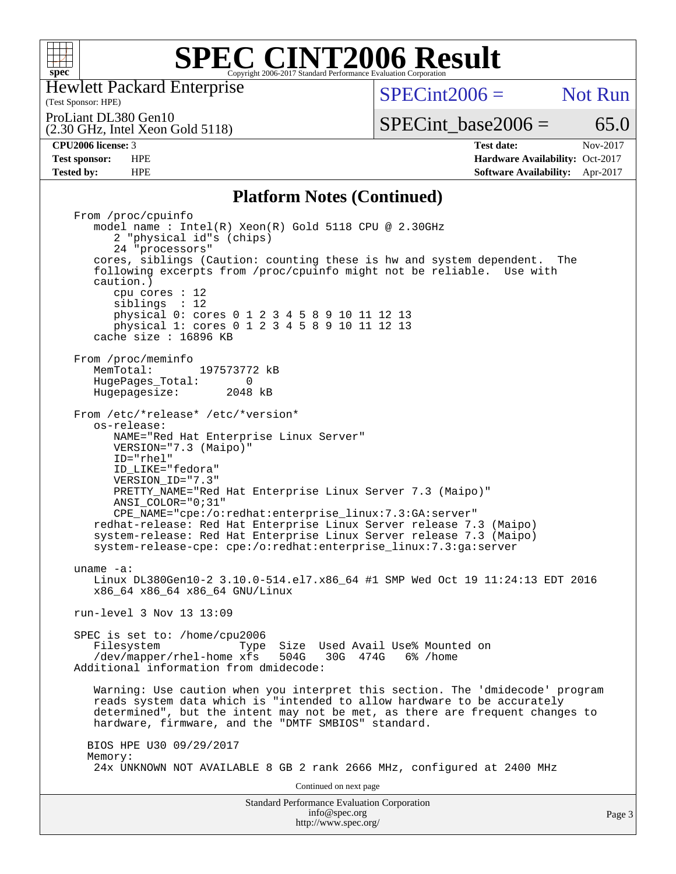

Hewlett Packard Enterprise

(Test Sponsor: HPE)

 $SPECint2006 =$  Not Run

ProLiant DL380 Gen10

(2.30 GHz, Intel Xeon Gold 5118)

**[Test sponsor:](http://www.spec.org/auto/cpu2006/Docs/result-fields.html#Testsponsor)** HPE **[Hardware Availability:](http://www.spec.org/auto/cpu2006/Docs/result-fields.html#HardwareAvailability)** Oct-2017 **[Tested by:](http://www.spec.org/auto/cpu2006/Docs/result-fields.html#Testedby)** HPE **[Software Availability:](http://www.spec.org/auto/cpu2006/Docs/result-fields.html#SoftwareAvailability)** Apr-2017

SPECint base2006 =  $65.0$ **[CPU2006 license:](http://www.spec.org/auto/cpu2006/Docs/result-fields.html#CPU2006license)** 3 **[Test date:](http://www.spec.org/auto/cpu2006/Docs/result-fields.html#Testdate)** Nov-2017

## **[Platform Notes \(Continued\)](http://www.spec.org/auto/cpu2006/Docs/result-fields.html#PlatformNotes)**

Standard Performance Evaluation Corporation [info@spec.org](mailto:info@spec.org) <http://www.spec.org/> From /proc/cpuinfo model name : Intel(R) Xeon(R) Gold 5118 CPU @ 2.30GHz 2 "physical id"s (chips) 24 "processors" cores, siblings (Caution: counting these is hw and system dependent. The following excerpts from /proc/cpuinfo might not be reliable. Use with caution.) cpu cores : 12 siblings : 12 physical 0: cores 0 1 2 3 4 5 8 9 10 11 12 13 physical 1: cores 0 1 2 3 4 5 8 9 10 11 12 13 cache size : 16896 KB From /proc/meminfo<br>MemTotal: 197573772 kB HugePages\_Total: 0<br>Hugepagesize: 2048 kB Hugepagesize: From /etc/\*release\* /etc/\*version\* os-release: NAME="Red Hat Enterprise Linux Server" VERSION="7.3 (Maipo)" ID="rhel" ID\_LIKE="fedora" VERSION\_ID="7.3" PRETTY\_NAME="Red Hat Enterprise Linux Server 7.3 (Maipo)" ANSI\_COLOR="0;31" CPE\_NAME="cpe:/o:redhat:enterprise\_linux:7.3:GA:server" redhat-release: Red Hat Enterprise Linux Server release 7.3 (Maipo) system-release: Red Hat Enterprise Linux Server release 7.3 (Maipo) system-release-cpe: cpe:/o:redhat:enterprise\_linux:7.3:ga:server uname -a: Linux DL380Gen10-2 3.10.0-514.el7.x86\_64 #1 SMP Wed Oct 19 11:24:13 EDT 2016 x86\_64 x86\_64 x86\_64 GNU/Linux run-level 3 Nov 13 13:09 SPEC is set to: /home/cpu2006 Filesystem Type Size Used Avail Use% Mounted on<br>/dev/mapper/rhel-home xfs 504G 30G 474G 6% /home  $/$ dev/mapper/rhel-home xfs 504G Additional information from dmidecode: Warning: Use caution when you interpret this section. The 'dmidecode' program reads system data which is "intended to allow hardware to be accurately determined", but the intent may not be met, as there are frequent changes to hardware, firmware, and the "DMTF SMBIOS" standard. BIOS HPE U30 09/29/2017 Memory: 24x UNKNOWN NOT AVAILABLE 8 GB 2 rank 2666 MHz, configured at 2400 MHz Continued on next page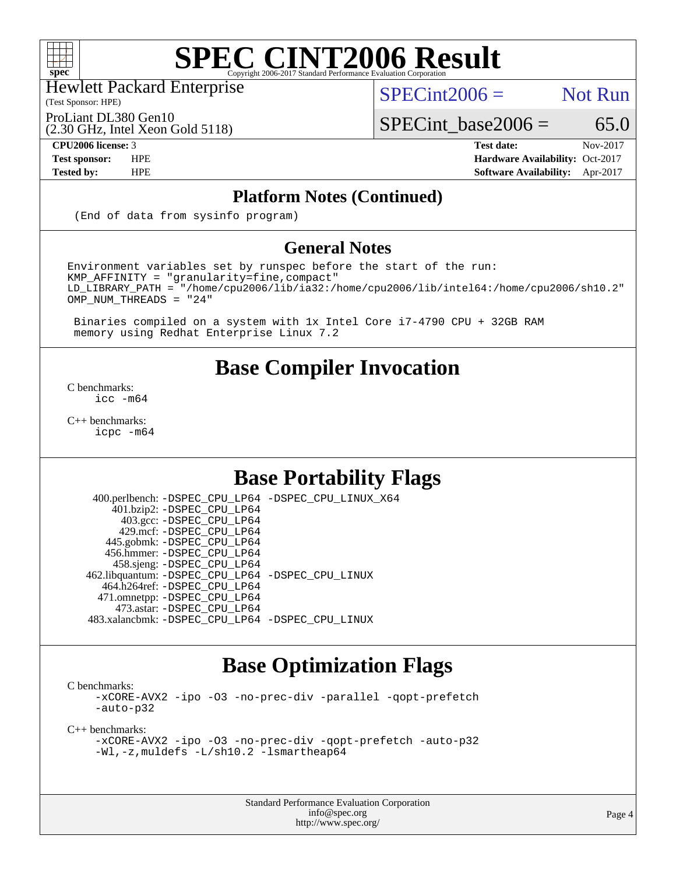

Hewlett Packard Enterprise

(Test Sponsor: HPE)

 $SPECint2006 =$  Not Run

(2.30 GHz, Intel Xeon Gold 5118) ProLiant DL380 Gen10

SPECint base2006 =  $65.0$ 

### **[CPU2006 license:](http://www.spec.org/auto/cpu2006/Docs/result-fields.html#CPU2006license)** 3 **[Test date:](http://www.spec.org/auto/cpu2006/Docs/result-fields.html#Testdate)** Nov-2017 **[Test sponsor:](http://www.spec.org/auto/cpu2006/Docs/result-fields.html#Testsponsor)** HPE **[Hardware Availability:](http://www.spec.org/auto/cpu2006/Docs/result-fields.html#HardwareAvailability)** Oct-2017 **[Tested by:](http://www.spec.org/auto/cpu2006/Docs/result-fields.html#Testedby)** HPE **[Software Availability:](http://www.spec.org/auto/cpu2006/Docs/result-fields.html#SoftwareAvailability)** Apr-2017

## **[Platform Notes \(Continued\)](http://www.spec.org/auto/cpu2006/Docs/result-fields.html#PlatformNotes)**

(End of data from sysinfo program)

## **[General Notes](http://www.spec.org/auto/cpu2006/Docs/result-fields.html#GeneralNotes)**

Environment variables set by runspec before the start of the run: KMP\_AFFINITY = "granularity=fine,compact" LD\_LIBRARY\_PATH = "/home/cpu2006/lib/ia32:/home/cpu2006/lib/intel64:/home/cpu2006/sh10.2" OMP NUM THREADS = "24"

 Binaries compiled on a system with 1x Intel Core i7-4790 CPU + 32GB RAM memory using Redhat Enterprise Linux 7.2

## **[Base Compiler Invocation](http://www.spec.org/auto/cpu2006/Docs/result-fields.html#BaseCompilerInvocation)**

[C benchmarks](http://www.spec.org/auto/cpu2006/Docs/result-fields.html#Cbenchmarks): [icc -m64](http://www.spec.org/cpu2006/results/res2017q4/cpu2006-20171127-50758.flags.html#user_CCbase_intel_icc_64bit_bda6cc9af1fdbb0edc3795bac97ada53)

[C++ benchmarks:](http://www.spec.org/auto/cpu2006/Docs/result-fields.html#CXXbenchmarks) [icpc -m64](http://www.spec.org/cpu2006/results/res2017q4/cpu2006-20171127-50758.flags.html#user_CXXbase_intel_icpc_64bit_fc66a5337ce925472a5c54ad6a0de310)

## **[Base Portability Flags](http://www.spec.org/auto/cpu2006/Docs/result-fields.html#BasePortabilityFlags)**

 400.perlbench: [-DSPEC\\_CPU\\_LP64](http://www.spec.org/cpu2006/results/res2017q4/cpu2006-20171127-50758.flags.html#b400.perlbench_basePORTABILITY_DSPEC_CPU_LP64) [-DSPEC\\_CPU\\_LINUX\\_X64](http://www.spec.org/cpu2006/results/res2017q4/cpu2006-20171127-50758.flags.html#b400.perlbench_baseCPORTABILITY_DSPEC_CPU_LINUX_X64) 401.bzip2: [-DSPEC\\_CPU\\_LP64](http://www.spec.org/cpu2006/results/res2017q4/cpu2006-20171127-50758.flags.html#suite_basePORTABILITY401_bzip2_DSPEC_CPU_LP64) 403.gcc: [-DSPEC\\_CPU\\_LP64](http://www.spec.org/cpu2006/results/res2017q4/cpu2006-20171127-50758.flags.html#suite_basePORTABILITY403_gcc_DSPEC_CPU_LP64) 429.mcf: [-DSPEC\\_CPU\\_LP64](http://www.spec.org/cpu2006/results/res2017q4/cpu2006-20171127-50758.flags.html#suite_basePORTABILITY429_mcf_DSPEC_CPU_LP64) 445.gobmk: [-DSPEC\\_CPU\\_LP64](http://www.spec.org/cpu2006/results/res2017q4/cpu2006-20171127-50758.flags.html#suite_basePORTABILITY445_gobmk_DSPEC_CPU_LP64) 456.hmmer: [-DSPEC\\_CPU\\_LP64](http://www.spec.org/cpu2006/results/res2017q4/cpu2006-20171127-50758.flags.html#suite_basePORTABILITY456_hmmer_DSPEC_CPU_LP64) 458.sjeng: [-DSPEC\\_CPU\\_LP64](http://www.spec.org/cpu2006/results/res2017q4/cpu2006-20171127-50758.flags.html#suite_basePORTABILITY458_sjeng_DSPEC_CPU_LP64) 462.libquantum: [-DSPEC\\_CPU\\_LP64](http://www.spec.org/cpu2006/results/res2017q4/cpu2006-20171127-50758.flags.html#suite_basePORTABILITY462_libquantum_DSPEC_CPU_LP64) [-DSPEC\\_CPU\\_LINUX](http://www.spec.org/cpu2006/results/res2017q4/cpu2006-20171127-50758.flags.html#b462.libquantum_baseCPORTABILITY_DSPEC_CPU_LINUX) 464.h264ref: [-DSPEC\\_CPU\\_LP64](http://www.spec.org/cpu2006/results/res2017q4/cpu2006-20171127-50758.flags.html#suite_basePORTABILITY464_h264ref_DSPEC_CPU_LP64) 471.omnetpp: [-DSPEC\\_CPU\\_LP64](http://www.spec.org/cpu2006/results/res2017q4/cpu2006-20171127-50758.flags.html#suite_basePORTABILITY471_omnetpp_DSPEC_CPU_LP64) 473.astar: [-DSPEC\\_CPU\\_LP64](http://www.spec.org/cpu2006/results/res2017q4/cpu2006-20171127-50758.flags.html#suite_basePORTABILITY473_astar_DSPEC_CPU_LP64) 483.xalancbmk: [-DSPEC\\_CPU\\_LP64](http://www.spec.org/cpu2006/results/res2017q4/cpu2006-20171127-50758.flags.html#suite_basePORTABILITY483_xalancbmk_DSPEC_CPU_LP64) [-DSPEC\\_CPU\\_LINUX](http://www.spec.org/cpu2006/results/res2017q4/cpu2006-20171127-50758.flags.html#b483.xalancbmk_baseCXXPORTABILITY_DSPEC_CPU_LINUX)

## **[Base Optimization Flags](http://www.spec.org/auto/cpu2006/Docs/result-fields.html#BaseOptimizationFlags)**

[C benchmarks](http://www.spec.org/auto/cpu2006/Docs/result-fields.html#Cbenchmarks):

[-xCORE-AVX2](http://www.spec.org/cpu2006/results/res2017q4/cpu2006-20171127-50758.flags.html#user_CCbase_f-xCORE-AVX2) [-ipo](http://www.spec.org/cpu2006/results/res2017q4/cpu2006-20171127-50758.flags.html#user_CCbase_f-ipo) [-O3](http://www.spec.org/cpu2006/results/res2017q4/cpu2006-20171127-50758.flags.html#user_CCbase_f-O3) [-no-prec-div](http://www.spec.org/cpu2006/results/res2017q4/cpu2006-20171127-50758.flags.html#user_CCbase_f-no-prec-div) [-parallel](http://www.spec.org/cpu2006/results/res2017q4/cpu2006-20171127-50758.flags.html#user_CCbase_f-parallel) [-qopt-prefetch](http://www.spec.org/cpu2006/results/res2017q4/cpu2006-20171127-50758.flags.html#user_CCbase_f-qopt-prefetch) [-auto-p32](http://www.spec.org/cpu2006/results/res2017q4/cpu2006-20171127-50758.flags.html#user_CCbase_f-auto-p32)

[C++ benchmarks:](http://www.spec.org/auto/cpu2006/Docs/result-fields.html#CXXbenchmarks)

```
-xCORE-AVX2 -ipo -O3 -no-prec-div -qopt-prefetch -auto-p32
-Wl,-z,muldefs -L/sh10.2 -lsmartheap64
```
Standard Performance Evaluation Corporation [info@spec.org](mailto:info@spec.org) <http://www.spec.org/>